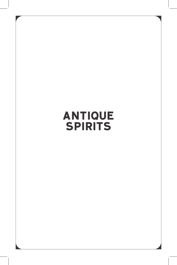# **ANTIQUE SPIRITS**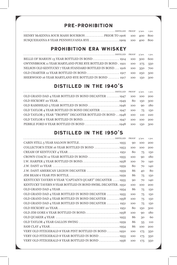#### **PRE-PROHIBITION**

| HENRY McKENNA SOUR MASH BOURBON  PRIOR TO 1906 100 400 800 |  |  |
|------------------------------------------------------------|--|--|
|                                                            |  |  |

#### **PROHIBITION ERA WHISKEY**

| BELLE OF MARION 13 YEAR BOTTLED IN BOND 1914 100 300 600               |  |  |
|------------------------------------------------------------------------|--|--|
| GWYNNBROOK 11 YEAR MARYLAND PURE RYE BOTTLED IN BOND. 1921 100 275 550 |  |  |
| NELSON OLD KENTUCKY 7 YEAR STANDARD BOTTLED IN BOND 1916 100 350 700   |  |  |
|                                                                        |  |  |
| SHERWOOD 16 YEAR MARYLAND RYE BOTTLED IN BOND  1917 100 150 300        |  |  |

## **DISTILLED IN THE 1940's**

| OLD GRAND DAD 4 YEAR BOTTLED IN BOND DECANTER  1947 100 100 200 |            |        |
|-----------------------------------------------------------------|------------|--------|
|                                                                 | 80 150 300 |        |
|                                                                 |            | 90 180 |
| OLD TAYLOR 4 YEAR BOTTLED IN BOND DECANTER  1947 100 75 150     |            |        |
| OLD TAYLOR 5 YEAR "TROPHY" DECANTER BOTTLED IN BOND1948         | 100 110    | 220    |
|                                                                 |            |        |
|                                                                 |            |        |

## **DISTILLED IN THE 1950's**

|                                                             | PROOF | $3/40Z$ . | 1.50Z. |
|-------------------------------------------------------------|-------|-----------|--------|
|                                                             | 90    | 100       | 200    |
|                                                             | 100   | 100       | 200    |
|                                                             | 80    | 75        | 150    |
|                                                             | 100   | 90        | 180    |
|                                                             | 100   | 70        | 140    |
|                                                             | 80    | 70        | 140    |
|                                                             | 86    | 40        | 80     |
|                                                             | 86    | 75        | 150    |
| KENTUCKY TAVERN 8 YEAR "CAPTAIN'S QUART" DECANTER  1955     | 90    | 70        | 140    |
| KENTUCKY TAVERN 8 YEAR BOTTLED IN BOND SWIRL DECANTER. 1952 | 100   | 100       | 200    |
|                                                             | 86    | 75        | 150    |
| OLD GRAND DAD 4 YEAR BOTTLED IN BOND DECANTER 1955          | 100   | 75        | 150    |
| OLD GRAND DAD 4 YEAR BOTTLED IN BOND DECANTER 1958          | 100   | 75        | 150    |
| OLD GRAND DAD 4 YEAR BOTTLED IN BOND DECANTER  1951         | 100   | 75        | 150    |
|                                                             | 80    | 150       | 300    |
| OLD JIM GORE 6 YEAR BOTTLED IN BOND1958                     | 100   | 90        | 180    |
|                                                             | 86    | 30        | 60     |
|                                                             | 86    | 55        | 110    |
|                                                             | 86    | 100       | 200    |
| VERY OLD FITZGERALD 8 YEAR PINT BOTTLED IN BOND1950         | 100   | 175       | 350    |
| VERY OLD FITZGERALD 8 YEAR BOTTLED IN BOND 1955             | 100   | 175       | 350    |
| VERY OLD FITZGERALD 8 YEAR BOTTLED IN BOND 1956             | 100   | 175       | 350    |
|                                                             |       |           |        |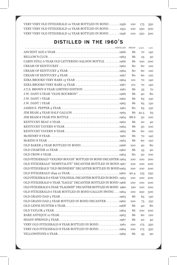| VERY VERY OLD FITZGERALD 10 YEAR BOTTLED IN BOND1956 100 175 350  |  |  |
|-------------------------------------------------------------------|--|--|
| VERY VERY OLD FITZGERALD 12 YEAR BOTTLED IN BOND 1951 100 250 500 |  |  |
| VERY VERY OLD FITZGERALD 12 YEAR BOTTLED IN BOND1956 100 250 500  |  |  |

# **DISTILLED IN THE 1960's**

|                                                                | PROOF | $3/40z$ . | 1.50Z. |
|----------------------------------------------------------------|-------|-----------|--------|
|                                                                | 86    | 70        | 140    |
|                                                                | 86    | 25        | 50     |
| CABIN STILL 6 YEAR OLD LETTERING SALOON BOTTLE 1966            | 86    | 100       | 200    |
|                                                                | 80    | 60        | 120    |
|                                                                | 80    | 60        | 120    |
|                                                                | 80    | 60        | 120    |
|                                                                | 101   | 70        | 140    |
|                                                                | 101   | 70        | 140    |
|                                                                | 86    | 35        | 70     |
| J.W. DANT 6 YEAR "OLDE BOURBON"1966                            | 86    | 40        | 80     |
|                                                                | 86    | 65        | 130    |
|                                                                | 86    | 65        | 130    |
|                                                                | 80    | 65        | 130    |
|                                                                | 86    | 32.5      | 65     |
|                                                                | 88.6  | 50        | 100    |
|                                                                | 86    | 20        | 40     |
|                                                                | 86    | 50        | 100    |
|                                                                | 86    | 60        | 120    |
|                                                                | 86    | 70        | 140    |
|                                                                | 86    | 60        | 120    |
|                                                                | 100   | 40        | 80     |
|                                                                | 86    | 45        | 90     |
|                                                                | 80    | 50        | 100    |
| OLD FITZGERALD "GOLDEN BOUGH" BOTTLED IN BOND DECANTER 1964    | 100   | 100       | 200    |
| OLD FITZGERALD "HOSPITALITY" DECANTER BOTTLED IN BOND 1967     | 100   | 100       | 200    |
| OLD FITZGERALD "OLD IRONSIDES" DECANTER BOTTLED IN BOND1965    | 100   | 100       | 200    |
| OLD FITZGERALD 1849 10 YEAR1960                                | 90.4  | 125       | 250    |
| OLD FITZGERALD 6 YEAR "COLONIAL DECANTER BOTTLED IN BOND. 1963 | 100   | 100       | 200    |
| OLD FITZGERALD 6 YEAR "EAGLE" DECANTER BOTTLED IN BOND 1966    | 100   | 100       | 200    |
| OLD FITZGERALD 6 YEAR "FLAGSHIP" DECANTER BOTTLED IN BOND 1960 | 100   | 100       | 200    |
| OLD FITZGERALD 6 YEAR BOTTLED IN BOND GALLON SWING 1964        | 100   | 250       | 500    |
|                                                                | 86    | 65        | 130    |
| OLD GRAND DAD 5 YEAR BOTTLED IN BOND DECANTER 1960             | 100   | 75        | 150    |
|                                                                | 86    | 40        | 80     |
|                                                                | 86    | 100       | 200    |
|                                                                | 86    | 60        | 120    |
|                                                                | 86    | 20        | 40     |
| VERY OLD FITZGERALD 8 YEAR BOTTLED IN BOND 1961                | 100   | 175       | 350    |
| VERY OLD FITZGERALD 8 YEAR BOTTLED IN BOND 1964                | 100   | 175       | 350    |
|                                                                | 86    | 45        | 90     |
|                                                                |       |           |        |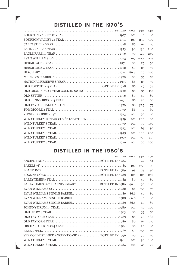## **DISTILLED IN THE 1970's**

|                                        | PROOF | $3/40Z$ . | 1.50Z. |
|----------------------------------------|-------|-----------|--------|
|                                        | 101   | 40        | -80    |
|                                        | 107   | 250       | 500    |
|                                        | 86    | 65        | 130    |
|                                        | 90    | 130       | 260    |
|                                        | 90    | 120       | 240    |
|                                        |       | 107 112.5 | 225    |
|                                        | 80    | 25        | 50     |
|                                        | 80    | 25        | 50     |
|                                        | 86.8  | 120       | 240    |
|                                        | 80    | 35        | 70     |
|                                        | 86    | 25        | 50     |
| OLD FORESTER 4 YEAR BOTTLED IN 1978    | 86    | 49        | 98     |
| OLD GRAND DAD 4 YEAR GALLON SWING 1972 | 86    | 55        | 110    |
|                                        | 80    | 40        | 80     |
|                                        | 86    | 30        | 60     |
|                                        | 86    | 37.5      | 75     |
|                                        | 86    | 30        | 60     |
|                                        | 101   | 90        | 180    |
|                                        | 101   | 200       | 400    |
|                                        | 101   | 70        | 140    |
|                                        | 101   | 65        | 130    |
|                                        | 101   | 100       | 200    |
|                                        | 101   | 57.5      | 115    |
|                                        | 101   | 100       | 200    |

## **DISTILLED IN THE 1980's**

|                                                     | PROOF | 3/40Z | 1.50Z. |
|-----------------------------------------------------|-------|-------|--------|
|                                                     |       | 42    | 84     |
|                                                     | 107   | 47.5  | 95     |
|                                                     | 93    | 75    | 150    |
|                                                     | 126   | 125   | 250    |
|                                                     | 80    | 40    | 80     |
|                                                     | 90.4  | 90    | 180    |
|                                                     | 86    | 37.5  | 75     |
|                                                     | 86.6  | 40    | 80     |
|                                                     | 86.6  | 40    | 80     |
|                                                     | 86.6  | 40    | 80     |
|                                                     | 101   | 50    | 100    |
|                                                     | 80    | 35    | 70     |
|                                                     | 86    | 90    | 180    |
|                                                     | 80    | 65    | 130    |
|                                                     | 80    | 20    | 40     |
|                                                     | 80    | 37.5  | 75     |
| VERY OLDE ST. NICK ANCIENT CASK #12 BOTTLED IN 1996 | 90    | 70    | 140    |
|                                                     | 101   | 90    | 180    |
|                                                     | 101   | 45    | 90     |
|                                                     |       |       |        |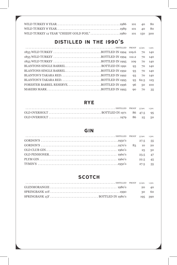## **DISTILLED IN THE 1990's**

|                                        |     | $3/40Z$ , 1.50Z. |        |
|----------------------------------------|-----|------------------|--------|
|                                        |     | 70               | 140    |
|                                        |     |                  | 70 140 |
|                                        | 109 |                  | 70 140 |
| BLANTONS SINGLE BARRELBOTTLED IN 1991  | 93  |                  | 70 140 |
| BLANTONS SINGLE BARRELBOTTLED IN 1992  | 93  |                  | 70 140 |
| BLANTON'S TAKARA REDBOTTLED IN 1992    | 93  |                  | 70 140 |
|                                        | 93  | 62.5 125         |        |
| FORESTER BARREL RESERVEBOTTLED IN 1996 | 96  | 50               | 100    |
| MAKERS MARKBOTTLED IN 1993             | 90  | 70               | -35    |

#### **RYE**

#### **GIN**

| 83 10 20 |           |  |
|----------|-----------|--|
|          | 25 50     |  |
|          | 23.5 47   |  |
|          | $22.5$ 45 |  |
|          | 27.5 55   |  |

#### **SCOTCH**

|  | 20 40   |       |
|--|---------|-------|
|  |         | 30 60 |
|  | 195 390 |       |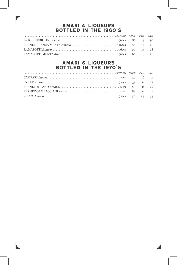#### **AMARI & LIQUEURS BOTTLED IN THE 1960'S**

#### **AMARI & LIQUEURS BOTTLED IN THE 1970'S**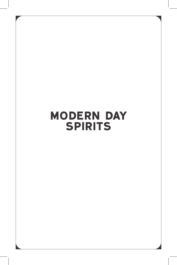# **MODERN DAY SPIRITS**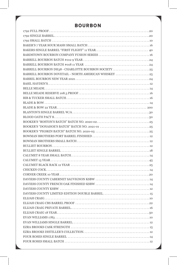#### **BOURBON**

| BARRELL BOURBON DH38 - CHARLOTTE BOURBON SOCIETY25 |
|----------------------------------------------------|
| BARRELL BOURBON DOVETAIL - NORTH AMERICAN WHISKEY  |
|                                                    |
|                                                    |
|                                                    |
|                                                    |
|                                                    |
|                                                    |
|                                                    |
|                                                    |
|                                                    |
|                                                    |
|                                                    |
|                                                    |
|                                                    |
|                                                    |
|                                                    |
|                                                    |
|                                                    |
|                                                    |
|                                                    |
|                                                    |
|                                                    |
|                                                    |
|                                                    |
|                                                    |
|                                                    |
|                                                    |
|                                                    |
|                                                    |
|                                                    |
|                                                    |
|                                                    |
|                                                    |
|                                                    |
|                                                    |
|                                                    |
|                                                    |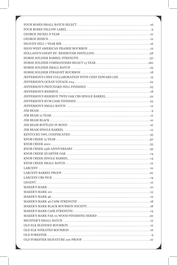| JEFFERSON'S CHEF COLLABORATION WITH CHEF EDWARD LEE  15 |  |
|---------------------------------------------------------|--|
|                                                         |  |
|                                                         |  |
|                                                         |  |
| JEFFERSON'S RESERVE TWIN OAK CBS SINGLE BARREL22        |  |
|                                                         |  |
|                                                         |  |
|                                                         |  |
|                                                         |  |
|                                                         |  |
|                                                         |  |
|                                                         |  |
|                                                         |  |
|                                                         |  |
|                                                         |  |
|                                                         |  |
|                                                         |  |
|                                                         |  |
|                                                         |  |
|                                                         |  |
|                                                         |  |
|                                                         |  |
|                                                         |  |
|                                                         |  |
|                                                         |  |
|                                                         |  |
|                                                         |  |
|                                                         |  |
|                                                         |  |
|                                                         |  |
|                                                         |  |
|                                                         |  |
|                                                         |  |
|                                                         |  |
|                                                         |  |
|                                                         |  |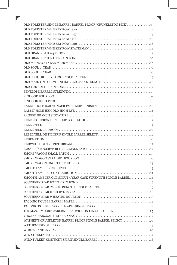| OLD FORESTER SINGLE BARREL BARREL PROOF "CRUNKLETON PICK"35   |
|---------------------------------------------------------------|
|                                                               |
|                                                               |
|                                                               |
|                                                               |
|                                                               |
|                                                               |
|                                                               |
|                                                               |
|                                                               |
|                                                               |
| OLD SOUL TINTYPE 7Y UNFILTERED CASK STRENGTH 28               |
|                                                               |
|                                                               |
|                                                               |
|                                                               |
|                                                               |
|                                                               |
|                                                               |
|                                                               |
|                                                               |
|                                                               |
|                                                               |
|                                                               |
|                                                               |
|                                                               |
|                                                               |
|                                                               |
|                                                               |
|                                                               |
|                                                               |
| SMOOTH AMBLER OLD SCOUT 5 YEAR CASK STRENGTH SINGLE BARREL 14 |
|                                                               |
|                                                               |
|                                                               |
|                                                               |
|                                                               |
|                                                               |
|                                                               |
|                                                               |
|                                                               |
|                                                               |
|                                                               |
|                                                               |
|                                                               |
|                                                               |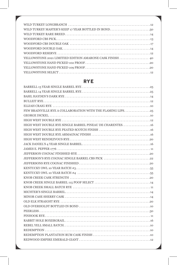## **RYE**

| HIGH WEST DOUBLE RYE $\ldots$ $\ldots$ $\ldots$ $\ldots$ $\ldots$ $\ldots$ $\ldots$ $\ldots$ $\ldots$ $\ldots$ $\ldots$ $\ldots$ $\ldots$ $\ldots$ |  |
|----------------------------------------------------------------------------------------------------------------------------------------------------|--|
|                                                                                                                                                    |  |
|                                                                                                                                                    |  |
|                                                                                                                                                    |  |
|                                                                                                                                                    |  |
|                                                                                                                                                    |  |
|                                                                                                                                                    |  |
|                                                                                                                                                    |  |
| JEFFERSON'S RYE COGNAC SINGLE BARREL CBS PICK 22                                                                                                   |  |
|                                                                                                                                                    |  |
|                                                                                                                                                    |  |
|                                                                                                                                                    |  |
|                                                                                                                                                    |  |
|                                                                                                                                                    |  |
|                                                                                                                                                    |  |
|                                                                                                                                                    |  |
|                                                                                                                                                    |  |
|                                                                                                                                                    |  |
|                                                                                                                                                    |  |
|                                                                                                                                                    |  |
|                                                                                                                                                    |  |
|                                                                                                                                                    |  |
|                                                                                                                                                    |  |
|                                                                                                                                                    |  |
|                                                                                                                                                    |  |
|                                                                                                                                                    |  |
|                                                                                                                                                    |  |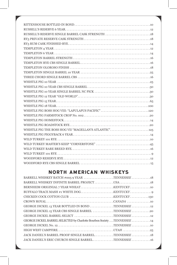| WHISTLE PIG BOSS HOG VIII: "LAPULAPUS PACIFIC"120     |
|-------------------------------------------------------|
|                                                       |
|                                                       |
|                                                       |
| WHISTLE PIG THE BOSS HOG VII "MAGELLAN'S ATLANTIC"125 |
|                                                       |
|                                                       |
|                                                       |
|                                                       |
|                                                       |
|                                                       |
|                                                       |

## **NORTH AMERICAN WHISKEYS**

| BARRELL WHISKEY BATCH #005 9 YEAR TENNESSEE 18                           |  |
|--------------------------------------------------------------------------|--|
| BARRELL WHISKEY INFINITE BARREL PROJECT USA 18                           |  |
|                                                                          |  |
|                                                                          |  |
|                                                                          |  |
|                                                                          |  |
| GEORGE DICKEL 13 YEAR BOTTLED IN BOND TENNESSEE  12                      |  |
| GEORGE DICKEL 15 YEAR CBS SINGLE BARREL TENNESSEE 20                     |  |
| GEORGE DICKEL BARREL SELECT TENNESSEE 12                                 |  |
| GEORGE DICKEL BARREL SELECTED by Charlotte Bourbon Society  TENNESSEE 14 |  |
|                                                                          |  |
|                                                                          |  |
| JACK DANIEL'S BARREL PROOF SINGLE BARRELTENNESSEE 18                     |  |
| JACK DANIEL'S ERIC CHURCH SINGLE BARRELTENNESSEE16                       |  |
|                                                                          |  |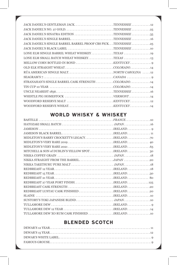| JACK DANIEL'S SINATRA EDITION TENNESSEE 35                    |  |
|---------------------------------------------------------------|--|
| JACK DANIEL'S SINGLE BARREL TENNESSEE 16                      |  |
| JACK DANIEL'S SINGLE BARREL BARREL PROOF CBS PICK TENNESSEE25 |  |
| JACK DANIEL'S BLACK LABEL TENNESSEE 10                        |  |
| LONE ELM SINGLE BARREL WHEAT WHISKEYTEXAS                     |  |
| LONE ELM SMALL BATCH WHEAT WHISKEYTEXAS                       |  |
|                                                               |  |
|                                                               |  |
|                                                               |  |
|                                                               |  |
| STRANAHAN'S SINGLE BARREL CASK STRENGTH COLORADO 14           |  |
|                                                               |  |
|                                                               |  |
|                                                               |  |
|                                                               |  |
|                                                               |  |

# **WORLD WHISKY & WHISKEY**

| NIKKA STRAIGHT FROM THE BARRELJAPAN 20        |
|-----------------------------------------------|
|                                               |
|                                               |
|                                               |
|                                               |
|                                               |
|                                               |
|                                               |
|                                               |
|                                               |
|                                               |
|                                               |
| TULLAMORE DEW XO RUM CASK FINISHED  IRELAND10 |
|                                               |

## **BLENDED SCOTCH**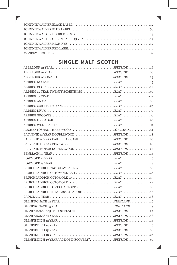## **SINGLE MALT SCOTCH**

| ARDBEG 22 YEAR TWENTY SOMETHINGISLAY140           |  |
|---------------------------------------------------|--|
|                                                   |  |
|                                                   |  |
|                                                   |  |
|                                                   |  |
|                                                   |  |
|                                                   |  |
|                                                   |  |
| AUCHENTOSHAN THREE WOOD LOWLAND14                 |  |
| BALVENIE 12 YEAR DOUBLEWOODSPEYSIDE18             |  |
| BALVENIE 14 YEAR CARIBBEAN CASK SPEYSIDE 20       |  |
| BALVENIE 14 YEAR PEAT WEEKSPEYSIDE28              |  |
|                                                   |  |
|                                                   |  |
|                                                   |  |
|                                                   |  |
|                                                   |  |
|                                                   |  |
|                                                   |  |
|                                                   |  |
|                                                   |  |
| BRUICHLADDICH THE CLASSIC LADDIEISLAY16           |  |
|                                                   |  |
|                                                   |  |
|                                                   |  |
|                                                   |  |
|                                                   |  |
|                                                   |  |
|                                                   |  |
|                                                   |  |
|                                                   |  |
| GLENFIDDICH 19 YEAR "AGE OF DISCOVERY"SPEYSIDE 40 |  |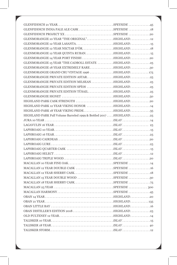| GLENFIDDICH INDIA PALE ALE CASK SPEYSIDE 18<br>GLENFIDDICH PROJECT XX SPEYSIDE 20<br>GLENMORANGIE 10 YEAR "THE ORIGINAL"HIGHLAND12<br>GLENMORANGIE 12 YEAR LASANTAHIGHLAND15<br>GLENMORANGIE 12 YEAR QUINTA RUBANHIGHLAND15<br>GLENMORANGIE 14 YEAR PORT FINISH HIGHLAND20<br>GLENMORANGIE 15 YEAR "THE CADBOLL ESTATE HIGHLAND25<br>GLENMORANGIE 18 YEAR EXTREMELY RAREHIGHLAND30<br>GLENMORANGIE GRAND CRU VINTAGE 1996 HIGHLAND175<br>GLENMORANGIE PRIVATE EDITION ASTAR. HIGHLAND. 25<br>GLENMORANGIE PRIVATE EDITION MILSEAN HIGHLAND25<br>GLENMORANGIE PRIVATE EDITION SPÌOS HIGHLAND. 25<br>GLENMORANGIE PRIVATE EDITION TÙSAILHIGHLAND25<br>GLENMORANGIE SIGNET HIGHLAND50<br>HIGHLAND PARK 12 YEAR VIKING HONOR HIGHLAND14<br>HIGHLAND PARK Full Volume Barreled 1999 & Bottled 2017  HIGHLAND25<br>MACALLAN 12 YEAR DOUBLE CASK SPEYSIDE 16<br>MACALLAN 18 YEAR SHERRY CASKSPEYSIDE 75 |
|--------------------------------------------------------------------------------------------------------------------------------------------------------------------------------------------------------------------------------------------------------------------------------------------------------------------------------------------------------------------------------------------------------------------------------------------------------------------------------------------------------------------------------------------------------------------------------------------------------------------------------------------------------------------------------------------------------------------------------------------------------------------------------------------------------------------------------------------------------------------------------------------------|
|                                                                                                                                                                                                                                                                                                                                                                                                                                                                                                                                                                                                                                                                                                                                                                                                                                                                                                  |
|                                                                                                                                                                                                                                                                                                                                                                                                                                                                                                                                                                                                                                                                                                                                                                                                                                                                                                  |
|                                                                                                                                                                                                                                                                                                                                                                                                                                                                                                                                                                                                                                                                                                                                                                                                                                                                                                  |
|                                                                                                                                                                                                                                                                                                                                                                                                                                                                                                                                                                                                                                                                                                                                                                                                                                                                                                  |
|                                                                                                                                                                                                                                                                                                                                                                                                                                                                                                                                                                                                                                                                                                                                                                                                                                                                                                  |
|                                                                                                                                                                                                                                                                                                                                                                                                                                                                                                                                                                                                                                                                                                                                                                                                                                                                                                  |
|                                                                                                                                                                                                                                                                                                                                                                                                                                                                                                                                                                                                                                                                                                                                                                                                                                                                                                  |
|                                                                                                                                                                                                                                                                                                                                                                                                                                                                                                                                                                                                                                                                                                                                                                                                                                                                                                  |
|                                                                                                                                                                                                                                                                                                                                                                                                                                                                                                                                                                                                                                                                                                                                                                                                                                                                                                  |
|                                                                                                                                                                                                                                                                                                                                                                                                                                                                                                                                                                                                                                                                                                                                                                                                                                                                                                  |
|                                                                                                                                                                                                                                                                                                                                                                                                                                                                                                                                                                                                                                                                                                                                                                                                                                                                                                  |
|                                                                                                                                                                                                                                                                                                                                                                                                                                                                                                                                                                                                                                                                                                                                                                                                                                                                                                  |
|                                                                                                                                                                                                                                                                                                                                                                                                                                                                                                                                                                                                                                                                                                                                                                                                                                                                                                  |
|                                                                                                                                                                                                                                                                                                                                                                                                                                                                                                                                                                                                                                                                                                                                                                                                                                                                                                  |
|                                                                                                                                                                                                                                                                                                                                                                                                                                                                                                                                                                                                                                                                                                                                                                                                                                                                                                  |
|                                                                                                                                                                                                                                                                                                                                                                                                                                                                                                                                                                                                                                                                                                                                                                                                                                                                                                  |
|                                                                                                                                                                                                                                                                                                                                                                                                                                                                                                                                                                                                                                                                                                                                                                                                                                                                                                  |
|                                                                                                                                                                                                                                                                                                                                                                                                                                                                                                                                                                                                                                                                                                                                                                                                                                                                                                  |
|                                                                                                                                                                                                                                                                                                                                                                                                                                                                                                                                                                                                                                                                                                                                                                                                                                                                                                  |
|                                                                                                                                                                                                                                                                                                                                                                                                                                                                                                                                                                                                                                                                                                                                                                                                                                                                                                  |
|                                                                                                                                                                                                                                                                                                                                                                                                                                                                                                                                                                                                                                                                                                                                                                                                                                                                                                  |
|                                                                                                                                                                                                                                                                                                                                                                                                                                                                                                                                                                                                                                                                                                                                                                                                                                                                                                  |
|                                                                                                                                                                                                                                                                                                                                                                                                                                                                                                                                                                                                                                                                                                                                                                                                                                                                                                  |
|                                                                                                                                                                                                                                                                                                                                                                                                                                                                                                                                                                                                                                                                                                                                                                                                                                                                                                  |
|                                                                                                                                                                                                                                                                                                                                                                                                                                                                                                                                                                                                                                                                                                                                                                                                                                                                                                  |
|                                                                                                                                                                                                                                                                                                                                                                                                                                                                                                                                                                                                                                                                                                                                                                                                                                                                                                  |
|                                                                                                                                                                                                                                                                                                                                                                                                                                                                                                                                                                                                                                                                                                                                                                                                                                                                                                  |
|                                                                                                                                                                                                                                                                                                                                                                                                                                                                                                                                                                                                                                                                                                                                                                                                                                                                                                  |
|                                                                                                                                                                                                                                                                                                                                                                                                                                                                                                                                                                                                                                                                                                                                                                                                                                                                                                  |
|                                                                                                                                                                                                                                                                                                                                                                                                                                                                                                                                                                                                                                                                                                                                                                                                                                                                                                  |
|                                                                                                                                                                                                                                                                                                                                                                                                                                                                                                                                                                                                                                                                                                                                                                                                                                                                                                  |
|                                                                                                                                                                                                                                                                                                                                                                                                                                                                                                                                                                                                                                                                                                                                                                                                                                                                                                  |
|                                                                                                                                                                                                                                                                                                                                                                                                                                                                                                                                                                                                                                                                                                                                                                                                                                                                                                  |
|                                                                                                                                                                                                                                                                                                                                                                                                                                                                                                                                                                                                                                                                                                                                                                                                                                                                                                  |
|                                                                                                                                                                                                                                                                                                                                                                                                                                                                                                                                                                                                                                                                                                                                                                                                                                                                                                  |
|                                                                                                                                                                                                                                                                                                                                                                                                                                                                                                                                                                                                                                                                                                                                                                                                                                                                                                  |
|                                                                                                                                                                                                                                                                                                                                                                                                                                                                                                                                                                                                                                                                                                                                                                                                                                                                                                  |
|                                                                                                                                                                                                                                                                                                                                                                                                                                                                                                                                                                                                                                                                                                                                                                                                                                                                                                  |
| OBAN DISTILLER'S EDITION 2018 HIGHLAND25                                                                                                                                                                                                                                                                                                                                                                                                                                                                                                                                                                                                                                                                                                                                                                                                                                                         |
|                                                                                                                                                                                                                                                                                                                                                                                                                                                                                                                                                                                                                                                                                                                                                                                                                                                                                                  |
|                                                                                                                                                                                                                                                                                                                                                                                                                                                                                                                                                                                                                                                                                                                                                                                                                                                                                                  |
|                                                                                                                                                                                                                                                                                                                                                                                                                                                                                                                                                                                                                                                                                                                                                                                                                                                                                                  |
|                                                                                                                                                                                                                                                                                                                                                                                                                                                                                                                                                                                                                                                                                                                                                                                                                                                                                                  |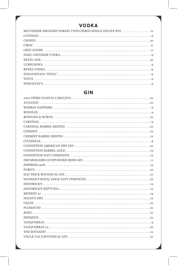#### **VODKA**

| BELVEDERE SMOGÓRY FOREST UNFILTERED SINGLE ESTATE RYE 11 |
|----------------------------------------------------------|
|                                                          |
|                                                          |
|                                                          |
|                                                          |
|                                                          |
|                                                          |
|                                                          |
|                                                          |
|                                                          |
|                                                          |
|                                                          |
|                                                          |

#### **GIN**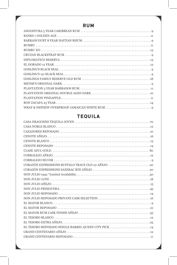#### **RUM**

## **TEQUILA**

| CORAZÓN EXPRESSIONS BUFFALO TRACE OLD 22 AÑEJO 20    |
|------------------------------------------------------|
|                                                      |
|                                                      |
|                                                      |
|                                                      |
|                                                      |
|                                                      |
|                                                      |
|                                                      |
|                                                      |
|                                                      |
|                                                      |
|                                                      |
|                                                      |
| EL TESORO REPOSADO SINGLE BARREL QUEEN CITY PICK  14 |
|                                                      |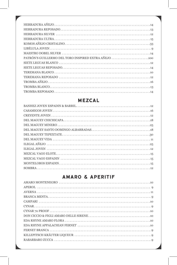#### **MEZCAL**

#### **AMARO & APERITIF**